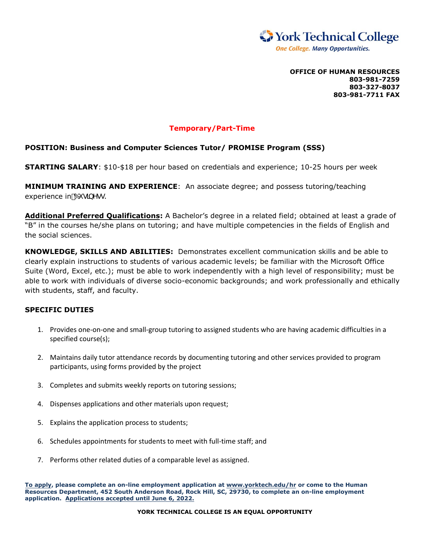

**OFFICE OF HUMAN RESOURCES 803-981-7259 803-327-8037 803-981-7711 FAX**

## **Temporary/Part-Time**

## **POSITION: Business and Computer Sciences Tutor/ PROMISE Program (SSS)**

**STARTING SALARY**: \$10-\$18 per hour based on credentials and experience; 10-25 hours per week

**MINIMUM TRAINING AND EXPERIENCE**: An associate degree; and possess tutoring/teaching experience in 6i glbYgg.

**Additional Preferred Qualifications:** A Bachelor's degree in a related field; obtained at least a grade of "B" in the courses he/she plans on tutoring; and have multiple competencies in the fields of English and the social sciences.

**KNOWLEDGE, SKILLS AND ABILITIES:** Demonstrates excellent communication skills and be able to clearly explain instructions to students of various academic levels; be familiar with the Microsoft Office Suite (Word, Excel, etc.); must be able to work independently with a high level of responsibility; must be able to work with individuals of diverse socio-economic backgrounds; and work professionally and ethically with students, staff, and faculty.

## **SPECIFIC DUTIES**

- 1. Provides one-on-one and small-group tutoring to assigned students who are having academic difficulties in a specified course(s);
- 2. Maintains daily tutor attendance records by documenting tutoring and other services provided to program participants, using forms provided by the project
- 3. Completes and submits weekly reports on tutoring sessions;
- 4. Dispenses applications and other materials upon request;
- 5. Explains the application process to students;
- 6. Schedules appointments for students to meet with full-time staff; and
- 7. Performs other related duties of a comparable level as assigned.

**To apply, please complete an on-line employment application at www.yorktech.edu/hr or come to the Human Resources Department, 452 South Anderson Road, Rock Hill, SC, 29730, to complete an on-line employment application. Applications accepted until June 6, 2022.**